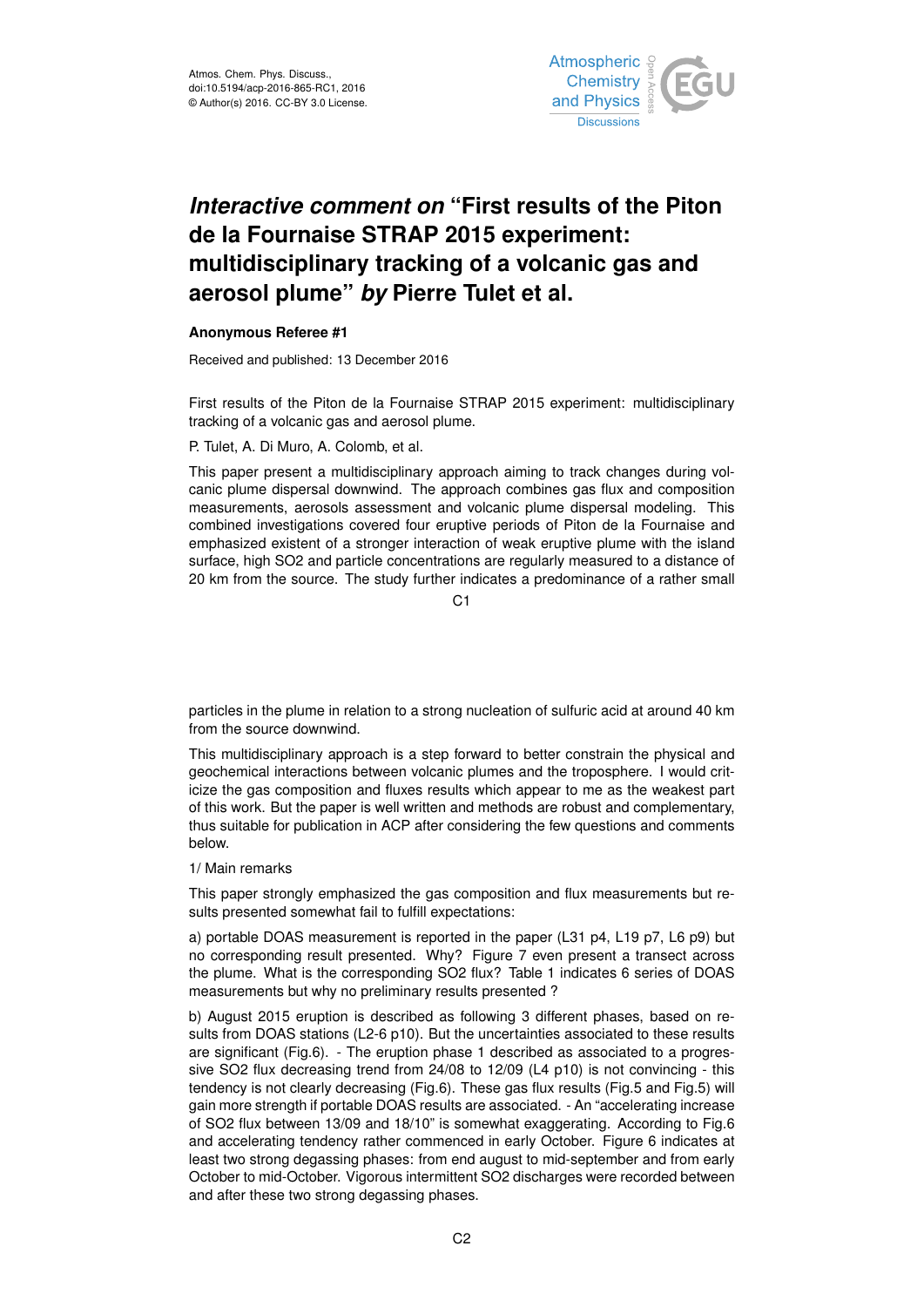

## *Interactive comment on* **"First results of the Piton de la Fournaise STRAP 2015 experiment: multidisciplinary tracking of a volcanic gas and aerosol plume"** *by* **Pierre Tulet et al.**

## **Anonymous Referee #1**

Received and published: 13 December 2016

First results of the Piton de la Fournaise STRAP 2015 experiment: multidisciplinary tracking of a volcanic gas and aerosol plume.

## P. Tulet, A. Di Muro, A. Colomb, et al.

This paper present a multidisciplinary approach aiming to track changes during volcanic plume dispersal downwind. The approach combines gas flux and composition measurements, aerosols assessment and volcanic plume dispersal modeling. This combined investigations covered four eruptive periods of Piton de la Fournaise and emphasized existent of a stronger interaction of weak eruptive plume with the island surface, high SO2 and particle concentrations are regularly measured to a distance of 20 km from the source. The study further indicates a predominance of a rather small

 $C<sub>1</sub>$ 

particles in the plume in relation to a strong nucleation of sulfuric acid at around 40 km from the source downwind.

This multidisciplinary approach is a step forward to better constrain the physical and geochemical interactions between volcanic plumes and the troposphere. I would criticize the gas composition and fluxes results which appear to me as the weakest part of this work. But the paper is well written and methods are robust and complementary, thus suitable for publication in ACP after considering the few questions and comments below.

## 1/ Main remarks

This paper strongly emphasized the gas composition and flux measurements but results presented somewhat fail to fulfill expectations:

a) portable DOAS measurement is reported in the paper (L31 p4, L19 p7, L6 p9) but no corresponding result presented. Why? Figure 7 even present a transect across the plume. What is the corresponding SO2 flux? Table 1 indicates 6 series of DOAS measurements but why no preliminary results presented ?

b) August 2015 eruption is described as following 3 different phases, based on results from DOAS stations (L2-6 p10). But the uncertainties associated to these results are significant (Fig.6). - The eruption phase 1 described as associated to a progressive SO2 flux decreasing trend from 24/08 to 12/09 (L4 p10) is not convincing - this tendency is not clearly decreasing (Fig.6). These gas flux results (Fig.5 and Fig.5) will gain more strength if portable DOAS results are associated. - An "accelerating increase of SO2 flux between 13/09 and 18/10" is somewhat exaggerating. According to Fig.6 and accelerating tendency rather commenced in early October. Figure 6 indicates at least two strong degassing phases: from end august to mid-september and from early October to mid-October. Vigorous intermittent SO2 discharges were recorded between and after these two strong degassing phases.